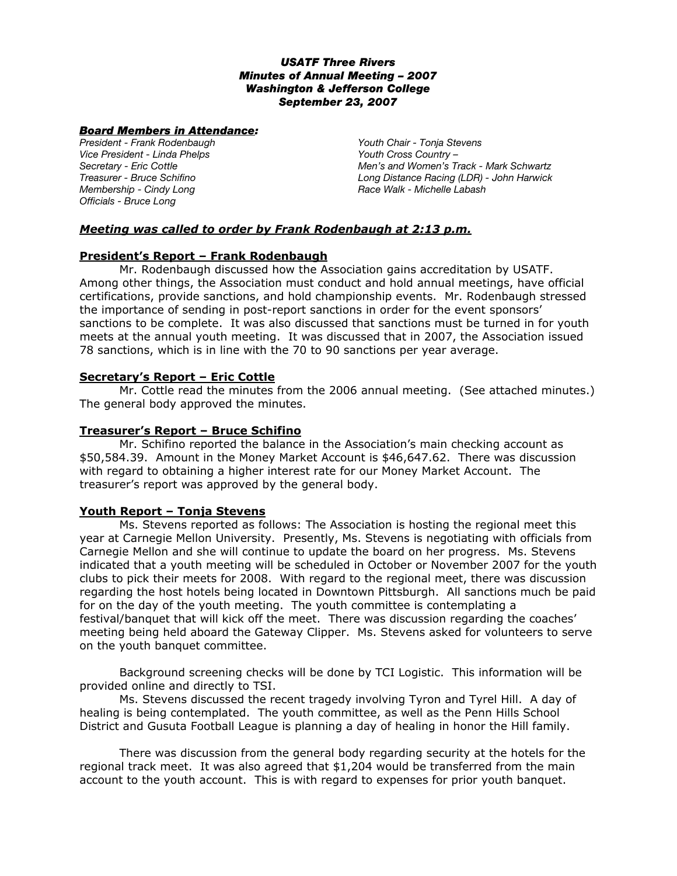### *USATF Three Rivers Minutes of Annual Meeting – 2007 Washington & Jefferson College September 23, 2007*

#### *Board Members in Attendance:*

*President - Frank Rodenbaugh Vice President - Linda Phelps Secretary - Eric Cottle Treasurer - Bruce Schifino Membership - Cindy Long Officials - Bruce Long* 

*Youth Chair - Tonja Stevens Youth Cross Country – Men's and Women's Track - Mark Schwartz Long Distance Racing (LDR) - John Harwick Race Walk - Michelle Labash*

# *Meeting was called to order by Frank Rodenbaugh at 2:13 p.m.*

## **President's Report – Frank Rodenbaugh**

Mr. Rodenbaugh discussed how the Association gains accreditation by USATF. Among other things, the Association must conduct and hold annual meetings, have official certifications, provide sanctions, and hold championship events. Mr. Rodenbaugh stressed the importance of sending in post-report sanctions in order for the event sponsors' sanctions to be complete. It was also discussed that sanctions must be turned in for youth meets at the annual youth meeting. It was discussed that in 2007, the Association issued 78 sanctions, which is in line with the 70 to 90 sanctions per year average.

## **Secretary's Report – Eric Cottle**

Mr. Cottle read the minutes from the 2006 annual meeting. (See attached minutes.) The general body approved the minutes.

## **Treasurer's Report – Bruce Schifino**

Mr. Schifino reported the balance in the Association's main checking account as \$50,584.39. Amount in the Money Market Account is \$46,647.62. There was discussion with regard to obtaining a higher interest rate for our Money Market Account. The treasurer's report was approved by the general body.

## **Youth Report – Tonja Stevens**

Ms. Stevens reported as follows: The Association is hosting the regional meet this year at Carnegie Mellon University. Presently, Ms. Stevens is negotiating with officials from Carnegie Mellon and she will continue to update the board on her progress. Ms. Stevens indicated that a youth meeting will be scheduled in October or November 2007 for the youth clubs to pick their meets for 2008. With regard to the regional meet, there was discussion regarding the host hotels being located in Downtown Pittsburgh. All sanctions much be paid for on the day of the youth meeting. The youth committee is contemplating a festival/banquet that will kick off the meet. There was discussion regarding the coaches' meeting being held aboard the Gateway Clipper. Ms. Stevens asked for volunteers to serve on the youth banquet committee.

Background screening checks will be done by TCI Logistic. This information will be provided online and directly to TSI.

Ms. Stevens discussed the recent tragedy involving Tyron and Tyrel Hill. A day of healing is being contemplated. The youth committee, as well as the Penn Hills School District and Gusuta Football League is planning a day of healing in honor the Hill family.

There was discussion from the general body regarding security at the hotels for the regional track meet. It was also agreed that \$1,204 would be transferred from the main account to the youth account. This is with regard to expenses for prior youth banquet.